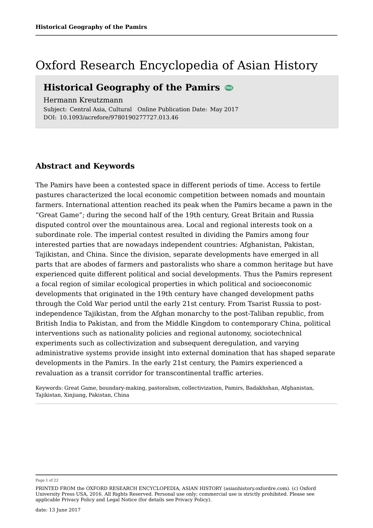## Oxford Research Encyclopedia of Asian History

### **Historical Geography of the Pamirs**

Hermann Kreutzmann

Subject: Central Asia, Cultural Online Publication Date: May 2017 DOI: 10.1093/acrefore/9780190277727.013.46

#### **Abstract and Keywords**

The Pamirs have been a contested space in different periods of time. Access to fertile pastures characterized the local economic competition between nomads and mountain farmers. International attention reached its peak when the Pamirs became a pawn in the "Great Game"; during the second half of the 19th century, Great Britain and Russia disputed control over the mountainous area. Local and regional interests took on a subordinate role. The imperial contest resulted in dividing the Pamirs among four interested parties that are nowadays independent countries: Afghanistan, Pakistan, Tajikistan, and China. Since the division, separate developments have emerged in all parts that are abodes of farmers and pastoralists who share a common heritage but have experienced quite different political and social developments. Thus the Pamirs represent a focal region of similar ecological properties in which political and socioeconomic developments that originated in the 19th century have changed development paths through the Cold War period until the early 21st century. From Tsarist Russia to postindependence Tajikistan, from the Afghan monarchy to the post-Taliban republic, from British India to Pakistan, and from the Middle Kingdom to contemporary China, political interventions such as nationality policies and regional autonomy, sociotechnical experiments such as collectivization and subsequent deregulation, and varying administrative systems provide insight into external domination that has shaped separate developments in the Pamirs. In the early 21st century, the Pamirs experienced a revaluation as a transit corridor for transcontinental traffic arteries.

Keywords: Great Game, boundary-making, pastoralism, collectivization, Pamirs, Badakhshan, Afghanistan, Tajikistan, Xinjiang, Pakistan, China

#### Page 1 of 22

PRINTED FROM the OXFORD RESEARCH ENCYCLOPEDIA, ASIAN HISTORY (asianhistory.oxfordre.com). (c) Oxford University Press USA, 2016. All Rights Reserved. Personal use only; commercial use is strictly prohibited. Please see applicable Privacy Policy and Legal Notice (for details see Privacy Policy).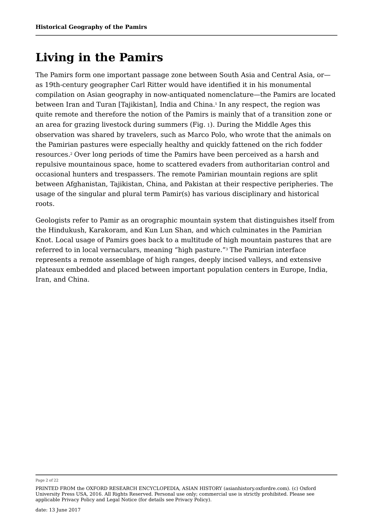# **Living in the Pamirs**

The Pamirs form one important passage zone between South Asia and Central Asia, or as 19th-century geographer Carl Ritter would have identified it in his monumental compilation on Asian geography in now-antiquated nomenclature—the Pamirs are located between Iran and Turan [Tajikistan], India and China.<sup>1</sup> In any respect, the region was quite remote and therefore the notion of the Pamirs is mainly that of a transition zone or an area for grazing livestock during summers (Fig. <sup>1</sup>). During the Middle Ages this observation was shared by travelers, such as Marco Polo, who wrote that the animals on the Pamirian pastures were especially healthy and quickly fattened on the rich fodder resources.<sup>2</sup> Over long periods of time the Pamirs have been perceived as a harsh and repulsive mountainous space, home to scattered evaders from authoritarian control and occasional hunters and trespassers. The remote Pamirian mountain regions are split between Afghanistan, Tajikistan, China, and Pakistan at their respective peripheries. The usage of the singular and plural term Pamir(s) has various disciplinary and historical roots.

Geologists refer to Pamir as an orographic mountain system that distinguishes itself from the Hindukush, Karakoram, and Kun Lun Shan, and which culminates in the Pamirian Knot. Local usage of Pamirs goes back to a multitude of high mountain pastures that are referred to in local vernaculars, meaning "high pasture." $^{\rm 3}$  The Pamirian interface represents a remote assemblage of high ranges, deeply incised valleys, and extensive plateaux embedded and placed between important population centers in Europe, India, Iran, and China.

Page 2 of 22

PRINTED FROM the OXFORD RESEARCH ENCYCLOPEDIA, ASIAN HISTORY (asianhistory.oxfordre.com). (c) Oxford University Press USA, 2016. All Rights Reserved. Personal use only; commercial use is strictly prohibited. Please see applicable Privacy Policy and Legal Notice (for details see Privacy Policy).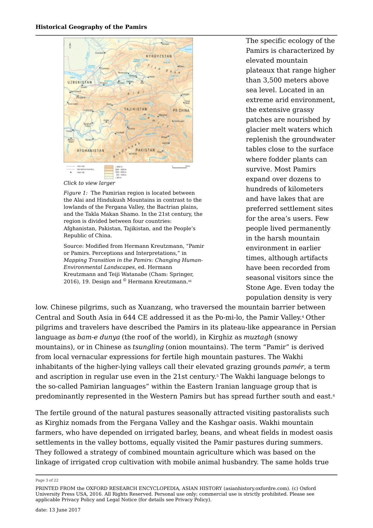

*Click to view larger*

*Figure 1:* The Pamirian region is located between the Alai and Hindukush Mountains in contrast to the lowlands of the Fergana Valley, the Bactrian plains, and the Takla Makan Shamo. In the 21st century, the region is divided between four countries: Afghanistan, Pakistan, Tajikistan, and the People's Republic of China.

Source: Modified from Hermann Kreutzmann, "Pamir or Pamirs. Perceptions and Interpretations," in *Mapping Transition in the Pamirs: Changing Human-Environmental Landscapes*, ed. Hermann Kreutzmann and Teiji Watanabe (Cham: Springer, 2016), 19. Design and © Hermann Kreutzmann.<sup>46</sup>

The specific ecology of the Pamirs is characterized by elevated mountain plateaux that range higher than 3,500 meters above sea level. Located in an extreme arid environment, the extensive grassy patches are nourished by glacier melt waters which replenish the groundwater tables close to the surface where fodder plants can survive. Most Pamirs expand over dozens to hundreds of kilometers and have lakes that are preferred settlement sites for the area's users. Few people lived permanently in the harsh mountain environment in earlier times, although artifacts have been recorded from seasonal visitors since the Stone Age. Even today the population density is very

low. Chinese pilgrims, such as Xuanzang, who traversed the mountain barrier between Central and South Asia in 644 CE addressed it as the Po-mi-lo, the Pamir Valley.4 Other pilgrims and travelers have described the Pamirs in its plateau-like appearance in Persian language as *bam-e dunya* (the roof of the world), in Kirghiz as *muztagh* (snowy mountains), or in Chinese as *tsungling* (onion mountains). The term "Pamir" is derived from local vernacular expressions for fertile high mountain pastures. The Wakhi inhabitants of the higher-lying valleys call their elevated grazing grounds *pamér*, a term and ascription in regular use even in the 21st century. $^{\rm 5}$  The Wakhi language belongs to the so-called Pamirian languages" within the Eastern Iranian language group that is predominantly represented in the Western Pamirs but has spread further south and east. 6

The fertile ground of the natural pastures seasonally attracted visiting pastoralists such as Kirghiz nomads from the Fergana Valley and the Kashgar oasis. Wakhi mountain farmers, who have depended on irrigated barley, beans, and wheat fields in modest oasis settlements in the valley bottoms, equally visited the Pamir pastures during summers. They followed a strategy of combined mountain agriculture which was based on the linkage of irrigated crop cultivation with mobile animal husbandry. The same holds true

Page 3 of 22

PRINTED FROM the OXFORD RESEARCH ENCYCLOPEDIA, ASIAN HISTORY (asianhistory.oxfordre.com). (c) Oxford University Press USA, 2016. All Rights Reserved. Personal use only; commercial use is strictly prohibited. Please see applicable Privacy Policy and Legal Notice (for details see Privacy Policy).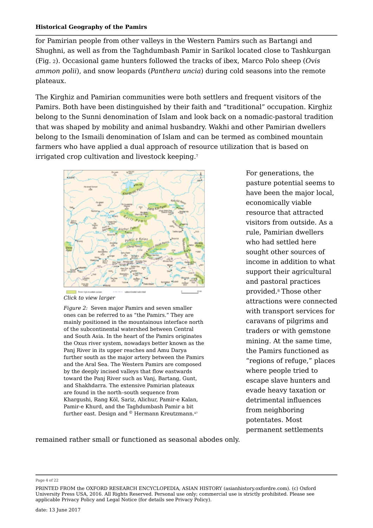for Pamirian people from other valleys in the Western Pamirs such as Bartangi and Shughni, as well as from the Taghdumbash Pamir in Sarikol located close to Tashkurgan (Fig. <sup>2</sup>). Occasional game hunters followed the tracks of ibex, Marco Polo sheep (*Ovis ammon polii*), and snow leopards (*Panthera uncia*) during cold seasons into the remote plateaux.

The Kirghiz and Pamirian communities were both settlers and frequent visitors of the Pamirs. Both have been distinguished by their faith and "traditional" occupation. Kirghiz belong to the Sunni denomination of Islam and look back on a nomadic-pastoral tradition that was shaped by mobility and animal husbandry. Wakhi and other Pamirian dwellers belong to the Ismaili denomination of Islam and can be termed as combined mountain farmers who have applied a dual approach of resource utilization that is based on irrigated crop cultivation and livestock keeping. 7



*Click to view larger*

*Figure 2:* Seven major Pamirs and seven smaller ones can be referred to as "the Pamirs." They are mainly positioned in the mountainous interface north of the subcontinental watershed between Central and South Asia. In the heart of the Pamirs originates the Oxus river system, nowadays better known as the Panj River in its upper reaches and Amu Darya further south as the major artery between the Pamirs and the Aral Sea. The Western Pamirs are composed by the deeply incised valleys that flow eastwards toward the Panj River such as Vanj, Bartang, Gunt, and Shakhdarra. The extensive Pamirian plateaux are found in the north–south sequence from Khargushi, Rang Köl, Sariz, Alichur, Pamir-e Kalan, Pamir-e Khurd, and the Taghdumbash Pamir a bit further east. Design and  $^{\circ}$  Hermann Kreutzmann. $^{47}$   $\hfill \blacksquare$ 

For generations, the pasture potential seems to have been the major local, economically viable resource that attracted visitors from outside. As a rule, Pamirian dwellers who had settled here sought other sources of income in addition to what support their agricultural and pastoral practices provided.8 Those other attractions were connected with transport services for caravans of pilgrims and traders or with gemstone mining. At the same time, the Pamirs functioned as "regions of refuge," places where people tried to escape slave hunters and evade heavy taxation or detrimental influences from neighboring potentates. Most permanent settlements

remained rather small or functioned as seasonal abodes only.

Page 4 of 22

PRINTED FROM the OXFORD RESEARCH ENCYCLOPEDIA, ASIAN HISTORY (asianhistory.oxfordre.com). (c) Oxford University Press USA, 2016. All Rights Reserved. Personal use only; commercial use is strictly prohibited. Please see applicable Privacy Policy and Legal Notice (for details see Privacy Policy).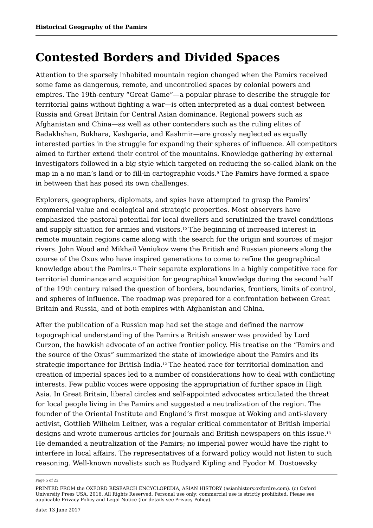## **Contested Borders and Divided Spaces**

Attention to the sparsely inhabited mountain region changed when the Pamirs received some fame as dangerous, remote, and uncontrolled spaces by colonial powers and empires. The 19th-century "Great Game"*—*a popular phrase to describe the struggle for territorial gains without fighting a war*—*is often interpreted as a dual contest between Russia and Great Britain for Central Asian dominance. Regional powers such as Afghanistan and China—as well as other contenders such as the ruling elites of Badakhshan, Bukhara, Kashgaria, and Kashmir—are grossly neglected as equally interested parties in the struggle for expanding their spheres of influence. All competitors aimed to further extend their control of the mountains. Knowledge gathering by external investigators followed in a big style which targeted on reducing the so-called blank on the map in a no man's land or to fill-in cartographic voids.<sup>9</sup> The Pamirs have formed a space in between that has posed its own challenges.

Explorers, geographers, diplomats, and spies have attempted to grasp the Pamirs' commercial value and ecological and strategic properties. Most observers have emphasized the pastoral potential for local dwellers and scrutinized the travel conditions and supply situation for armies and visitors. $^{\scriptscriptstyle 10}$  The beginning of increased interest in remote mountain regions came along with the search for the origin and sources of major rivers. John Wood and Mikhail Veniukov were the British and Russian pioneers along the course of the Oxus who have inspired generations to come to refine the geographical knowledge about the Pamirs.11 Their separate explorations in a highly competitive race for territorial dominance and acquisition for geographical knowledge during the second half of the 19th century raised the question of borders, boundaries, frontiers, limits of control, and spheres of influence. The roadmap was prepared for a confrontation between Great Britain and Russia, and of both empires with Afghanistan and China.

After the publication of a Russian map had set the stage and defined the narrow topographical understanding of the Pamirs a British answer was provided by Lord Curzon, the hawkish advocate of an active frontier policy. His treatise on the "Pamirs and the source of the Oxus" summarized the state of knowledge about the Pamirs and its strategic importance for British India. $^{12}$  The heated race for territorial domination and creation of imperial spaces led to a number of considerations how to deal with conflicting interests. Few public voices were opposing the appropriation of further space in High Asia. In Great Britain, liberal circles and self-appointed advocates articulated the threat for local people living in the Pamirs and suggested a neutralization of the region. The founder of the Oriental Institute and England's first mosque at Woking and anti-slavery activist, Gottlieb Wilhelm Leitner, was a regular critical commentator of British imperial designs and wrote numerous articles for journals and British newspapers on this issue. 13He demanded a neutralization of the Pamirs; no imperial power would have the right to interfere in local affairs. The representatives of a forward policy would not listen to such reasoning. Well-known novelists such as Rudyard Kipling and Fyodor M. Dostoevsky

Page 5 of 22

PRINTED FROM the OXFORD RESEARCH ENCYCLOPEDIA, ASIAN HISTORY (asianhistory.oxfordre.com). (c) Oxford University Press USA, 2016. All Rights Reserved. Personal use only; commercial use is strictly prohibited. Please see applicable Privacy Policy and Legal Notice (for details see Privacy Policy).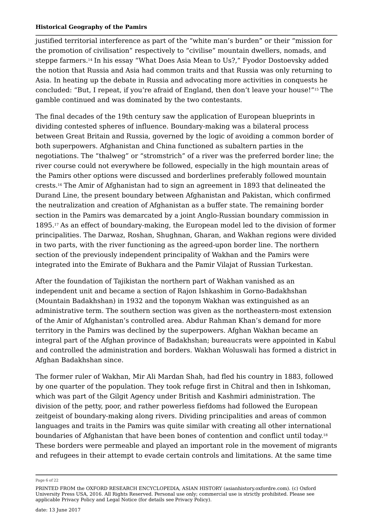justified territorial interference as part of the "white man's burden" or their "mission for the promotion of civilisation" respectively to "civilise" mountain dwellers, nomads, and steppe farmers.14 In his essay "What Does Asia Mean to Us?," Fyodor Dostoevsky added the notion that Russia and Asia had common traits and that Russia was only returning to Asia. In heating up the debate in Russia and advocating more activities in conquests he concluded: "But, I repeat, if you're afraid of England, then don't leave your house!"<sup>15</sup> The gamble continued and was dominated by the two contestants.

The final decades of the 19th century saw the application of European blueprints in dividing contested spheres of influence. Boundary-making was a bilateral process between Great Britain and Russia, governed by the logic of avoiding a common border of both superpowers. Afghanistan and China functioned as subaltern parties in the negotiations. The "thalweg" or "stromstrich" of a river was the preferred border line; the river course could not everywhere be followed, especially in the high mountain areas of the Pamirs other options were discussed and borderlines preferably followed mountain crests.16 The Amir of Afghanistan had to sign an agreement in 1893 that delineated the Durand Line, the present boundary between Afghanistan and Pakistan, which confirmed the neutralization and creation of Afghanistan as a buffer state. The remaining border section in the Pamirs was demarcated by a joint Anglo-Russian boundary commission in 1895.17 As an effect of boundary-making, the European model led to the division of former principalities. The Darwaz, Roshan, Shughnan, Gharan, and Wakhan regions were divided in two parts, with the river functioning as the agreed-upon border line. The northern section of the previously independent principality of Wakhan and the Pamirs were integrated into the Emirate of Bukhara and the Pamir Vilajat of Russian Turkestan.

After the foundation of Tajikistan the northern part of Wakhan vanished as an independent unit and became a section of Rajon Ishkashim in Gorno-Badakhshan (Mountain Badakhshan) in 1932 and the toponym Wakhan was extinguished as an administrative term. The southern section was given as the northeastern-most extension of the Amir of Afghanistan's controlled area. Abdur Rahman Khan's demand for more territory in the Pamirs was declined by the superpowers. Afghan Wakhan became an integral part of the Afghan province of Badakhshan; bureaucrats were appointed in Kabul and controlled the administration and borders. Wakhan Woluswali has formed a district in Afghan Badakhshan since.

The former ruler of Wakhan, Mir Ali Mardan Shah, had fled his country in 1883, followed by one quarter of the population. They took refuge first in Chitral and then in Ishkoman, which was part of the Gilgit Agency under British and Kashmiri administration. The division of the petty, poor, and rather powerless fiefdoms had followed the European zeitgeist of boundary-making along rivers. Dividing principalities and areas of common languages and traits in the Pamirs was quite similar with creating all other international boundaries of Afghanistan that have been bones of contention and conflict until today. 18These borders were permeable and played an important role in the movement of migrants and refugees in their attempt to evade certain controls and limitations. At the same time

Page 6 of 22

PRINTED FROM the OXFORD RESEARCH ENCYCLOPEDIA, ASIAN HISTORY (asianhistory.oxfordre.com). (c) Oxford University Press USA, 2016. All Rights Reserved. Personal use only; commercial use is strictly prohibited. Please see applicable Privacy Policy and Legal Notice (for details see Privacy Policy).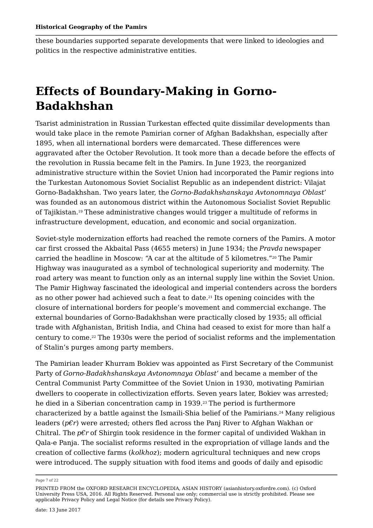these boundaries supported separate developments that were linked to ideologies and politics in the respective administrative entities.

## **Effects of Boundary-Making in Gorno-Badakhshan**

Tsarist administration in Russian Turkestan effected quite dissimilar developments than would take place in the remote Pamirian corner of Afghan Badakhshan, especially after 1895, when all international borders were demarcated. These differences were aggravated after the October Revolution. It took more than a decade before the effects of the revolution in Russia became felt in the Pamirs. In June 1923, the reorganized administrative structure within the Soviet Union had incorporated the Pamir regions into the Turkestan Autonomous Soviet Socialist Republic as an independent district: Vilajat Gorno-Badakhshan. Two years later, the *Gorno-Badakhshanskaya Avtonomnaya Oblast'* was founded as an autonomous district within the Autonomous Socialist Soviet Republic of Tajikistan.19 These administrative changes would trigger a multitude of reforms in infrastructure development, education, and economic and social organization.

Soviet-style modernization efforts had reached the remote corners of the Pamirs. A motor car first crossed the Akbaital Pass (4655 meters) in June 1934; the *Pravda* newspaper carried the headline in Moscow: "A car at the altitude of 5 kilometres." $^{\rm 20}$  The Pamir Highway was inaugurated as a symbol of technological superiority and modernity. The road artery was meant to function only as an internal supply line within the Soviet Union. The Pamir Highway fascinated the ideological and imperial contenders across the borders as no other power had achieved such a feat to date. $^{21}$  Its opening coincides with the closure of international borders for people's movement and commercial exchange. The external boundaries of Gorno-Badakhshan were practically closed by 1935; all official trade with Afghanistan, British India, and China had ceased to exist for more than half a century to come. $^\mathrm{22}$  The 1930s were the period of socialist reforms and the implementation of Stalin's purges among party members.

The Pamirian leader Khurram Bokiev was appointed as First Secretary of the Communist Party of *Gorno-Badakhshanskaya Avtonomnaya Oblast'* and became a member of the Central Communist Party Committee of the Soviet Union in 1930, motivating Pamirian dwellers to cooperate in collectivization efforts. Seven years later, Bokiev was arrested; he died in a Siberian concentration camp in 1939. $^{\rm 23}$  The period is furthermore characterized by a battle against the Ismaili-Shia belief of the Pamirians. $^{\rm 24}$  Many religious leaders (*p€r*) were arrested; others fled across the Panj River to Afghan Wakhan or Chitral. The *p€r* of Shirgin took residence in the former capital of undivided Wakhan in Qala-e Panja. The socialist reforms resulted in the expropriation of village lands and the creation of collective farms (*kolkhoz*); modern agricultural techniques and new crops were introduced. The supply situation with food items and goods of daily and episodic

Page 7 of 22

PRINTED FROM the OXFORD RESEARCH ENCYCLOPEDIA, ASIAN HISTORY (asianhistory.oxfordre.com). (c) Oxford University Press USA, 2016. All Rights Reserved. Personal use only; commercial use is strictly prohibited. Please see applicable Privacy Policy and Legal Notice (for details see Privacy Policy).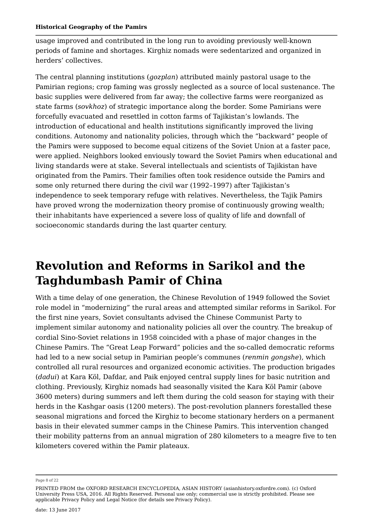usage improved and contributed in the long run to avoiding previously well-known periods of famine and shortages. Kirghiz nomads were sedentarized and organized in herders' collectives.

The central planning institutions (*gozplan*) attributed mainly pastoral usage to the Pamirian regions; crop faming was grossly neglected as a source of local sustenance. The basic supplies were delivered from far away; the collective farms were reorganized as state farms (*sovkhoz*) of strategic importance along the border. Some Pamirians were forcefully evacuated and resettled in cotton farms of Tajikistan's lowlands. The introduction of educational and health institutions significantly improved the living conditions. Autonomy and nationality policies, through which the "backward" people of the Pamirs were supposed to become equal citizens of the Soviet Union at a faster pace, were applied. Neighbors looked enviously toward the Soviet Pamirs when educational and living standards were at stake. Several intellectuals and scientists of Tajikistan have originated from the Pamirs. Their families often took residence outside the Pamirs and some only returned there during the civil war (1992–1997) after Tajikistan's independence to seek temporary refuge with relatives. Nevertheless, the Tajik Pamirs have proved wrong the modernization theory promise of continuously growing wealth; their inhabitants have experienced a severe loss of quality of life and downfall of socioeconomic standards during the last quarter century.

# **Revolution and Reforms in Sarikol and the Taghdumbash Pamir of China**

With a time delay of one generation, the Chinese Revolution of 1949 followed the Soviet role model in "modernizing" the rural areas and attempted similar reforms in Sarikol. For the first nine years, Soviet consultants advised the Chinese Communist Party to implement similar autonomy and nationality policies all over the country. The breakup of cordial Sino-Soviet relations in 1958 coincided with a phase of major changes in the Chinese Pamirs. The "Great Leap Forward" policies and the so-called democratic reforms had led to a new social setup in Pamirian people's communes (*renmin gongshe*), which controlled all rural resources and organized economic activities. The production brigades (*dadui*) at Kara Köl, Dafdar, and Paik enjoyed central supply lines for basic nutrition and clothing. Previously, Kirghiz nomads had seasonally visited the Kara Köl Pamir (above 3600 meters) during summers and left them during the cold season for staying with their herds in the Kashgar oasis (1200 meters). The post-revolution planners forestalled these seasonal migrations and forced the Kirghiz to become stationary herders on a permanent basis in their elevated summer camps in the Chinese Pamirs. This intervention changed their mobility patterns from an annual migration of 280 kilometers to a meagre five to ten kilometers covered within the Pamir plateaux.

Page 8 of 22

PRINTED FROM the OXFORD RESEARCH ENCYCLOPEDIA, ASIAN HISTORY (asianhistory.oxfordre.com). (c) Oxford University Press USA, 2016. All Rights Reserved. Personal use only; commercial use is strictly prohibited. Please see applicable Privacy Policy and Legal Notice (for details see Privacy Policy).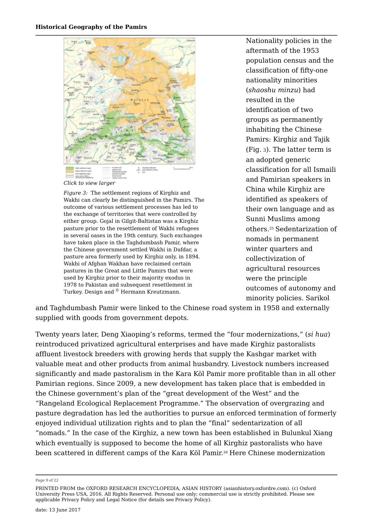

*Click to view larger*

*Figure 3:* The settlement regions of Kirghiz and Wakhi can clearly be distinguished in the Pamirs. The outcome of various settlement processes has led to the exchange of territories that were controlled by either group. Gojal in Gilgit-Baltistan was a Kirghiz pasture prior to the resettlement of Wakhi refugees in several oases in the 19th century. Such exchanges have taken place in the Taghdumbash Pamir, where the Chinese government settled Wakhi in Dafdar, a pasture area formerly used by Kirghiz only, in 1894. Wakhi of Afghan Wakhan have reclaimed certain pastures in the Great and Little Pamirs that were used by Kirghiz prior to their majority exodus in 1978 to Pakistan and subsequent resettlement in Turkey. Design and © Hermann Kreutzmann.

Nationality policies in the aftermath of the 1953 population census and the classification of fifty-one nationality minorities (*shaoshu minzu*) had resulted in the identification of two groups as permanently inhabiting the Chinese Pamirs: Kirghiz and Tajik (Fig. <sup>3</sup>). The latter term is an adopted generic classification for all Ismaili and Pamirian speakers in China while Kirghiz are identified as speakers of their own language and as Sunni Muslims among others.<sup>25</sup> Sedentarization of nomads in permanent winter quarters and collectivization of agricultural resources were the principle outcomes of autonomy and minority policies. Sarikol

and Taghdumbash Pamir were linked to the Chinese road system in 1958 and externally supplied with goods from government depots.

Twenty years later, Deng Xiaoping's reforms, termed the "four modernizations," (*si hua*) reintroduced privatized agricultural enterprises and have made Kirghiz pastoralists affluent livestock breeders with growing herds that supply the Kashgar market with valuable meat and other products from animal husbandry. Livestock numbers increased significantly and made pastoralism in the Kara Köl Pamir more profitable than in all other Pamirian regions. Since 2009, a new development has taken place that is embedded in the Chinese government's plan of the "great development of the West" and the "Rangeland Ecological Replacement Programme." The observation of overgrazing and pasture degradation has led the authorities to pursue an enforced termination of formerly enjoyed individual utilization rights and to plan the "final" sedentarization of all "nomads." In the case of the Kirghiz, a new town has been established in Bulunkul Xiang which eventually is supposed to become the home of all Kirghiz pastoralists who have been scattered in different camps of the Kara Köl Pamir.<sup>26</sup> Here Chinese modernization

Page 9 of 22

PRINTED FROM the OXFORD RESEARCH ENCYCLOPEDIA, ASIAN HISTORY (asianhistory.oxfordre.com). (c) Oxford University Press USA, 2016. All Rights Reserved. Personal use only; commercial use is strictly prohibited. Please see applicable Privacy Policy and Legal Notice (for details see Privacy Policy).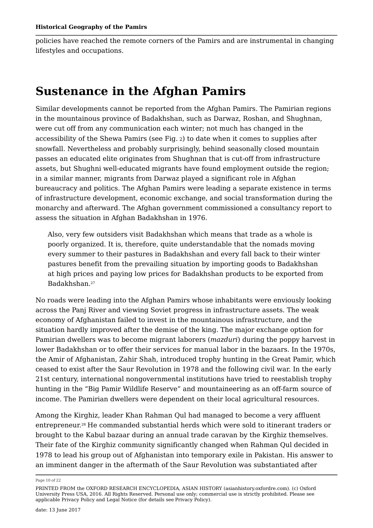policies have reached the remote corners of the Pamirs and are instrumental in changing lifestyles and occupations.

### **Sustenance in the Afghan Pamirs**

Similar developments cannot be reported from the Afghan Pamirs. The Pamirian regions in the mountainous province of Badakhshan, such as Darwaz, Roshan, and Shughnan, were cut off from any communication each winter; not much has changed in the accessibility of the Shewa Pamirs (see Fig. <sup>2</sup>) to date when it comes to supplies after snowfall. Nevertheless and probably surprisingly, behind seasonally closed mountain passes an educated elite originates from Shughnan that is cut-off from infrastructure assets, but Shughni well-educated migrants have found employment outside the region; in a similar manner, migrants from Darwaz played a significant role in Afghan bureaucracy and politics. The Afghan Pamirs were leading a separate existence in terms of infrastructure development, economic exchange, and social transformation during the monarchy and afterward. The Afghan government commissioned a consultancy report to assess the situation in Afghan Badakhshan in 1976.

Also, very few outsiders visit Badakhshan which means that trade as a whole is poorly organized. It is, therefore, quite understandable that the nomads moving every summer to their pastures in Badakhshan and every fall back to their winter pastures benefit from the prevailing situation by importing goods to Badakhshan at high prices and paying low prices for Badakhshan products to be exported from Badakhshan. 27

No roads were leading into the Afghan Pamirs whose inhabitants were enviously looking across the Panj River and viewing Soviet progress in infrastructure assets. The weak economy of Afghanistan failed to invest in the mountainous infrastructure, and the situation hardly improved after the demise of the king. The major exchange option for Pamirian dwellers was to become migrant laborers (*mazduri*) during the poppy harvest in lower Badakhshan or to offer their services for manual labor in the bazaars. In the 1970s, the Amir of Afghanistan, Zahir Shah, introduced trophy hunting in the Great Pamir, which ceased to exist after the Saur Revolution in 1978 and the following civil war. In the early 21st century, international nongovernmental institutions have tried to reestablish trophy hunting in the "Big Pamir Wildlife Reserve" and mountaineering as an off-farm source of income. The Pamirian dwellers were dependent on their local agricultural resources.

Among the Kirghiz, leader Khan Rahman Qul had managed to become a very affluent entrepreneur.<sup>28</sup> He commanded substantial herds which were sold to itinerant traders or brought to the Kabul bazaar during an annual trade caravan by the Kirghiz themselves. Their fate of the Kirghiz community significantly changed when Rahman Qul decided in 1978 to lead his group out of Afghanistan into temporary exile in Pakistan. His answer to an imminent danger in the aftermath of the Saur Revolution was substantiated after

Page 10 of 22

PRINTED FROM the OXFORD RESEARCH ENCYCLOPEDIA, ASIAN HISTORY (asianhistory.oxfordre.com). (c) Oxford University Press USA, 2016. All Rights Reserved. Personal use only; commercial use is strictly prohibited. Please see applicable Privacy Policy and Legal Notice (for details see Privacy Policy).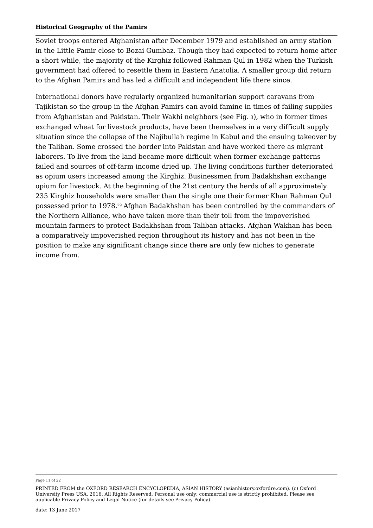Soviet troops entered Afghanistan after December 1979 and established an army station in the Little Pamir close to Bozai Gumbaz. Though they had expected to return home after a short while, the majority of the Kirghiz followed Rahman Qul in 1982 when the Turkish government had offered to resettle them in Eastern Anatolia. A smaller group did return to the Afghan Pamirs and has led a difficult and independent life there since.

International donors have regularly organized humanitarian support caravans from Tajikistan so the group in the Afghan Pamirs can avoid famine in times of failing supplies from Afghanistan and Pakistan. Their Wakhi neighbors (see Fig. <sup>3</sup>), who in former times exchanged wheat for livestock products, have been themselves in a very difficult supply situation since the collapse of the Najibullah regime in Kabul and the ensuing takeover by the Taliban. Some crossed the border into Pakistan and have worked there as migrant laborers. To live from the land became more difficult when former exchange patterns failed and sources of off-farm income dried up. The living conditions further deteriorated as opium users increased among the Kirghiz. Businessmen from Badakhshan exchange opium for livestock. At the beginning of the 21st century the herds of all approximately 235 Kirghiz households were smaller than the single one their former Khan Rahman Qul possessed prior to 1978. $^{\rm 9}$  Afghan Badakhshan has been controlled by the commanders of the Northern Alliance, who have taken more than their toll from the impoverished mountain farmers to protect Badakhshan from Taliban attacks. Afghan Wakhan has been a comparatively impoverished region throughout its history and has not been in the position to make any significant change since there are only few niches to generate income from.

Page 11 of 22

PRINTED FROM the OXFORD RESEARCH ENCYCLOPEDIA, ASIAN HISTORY (asianhistory.oxfordre.com). (c) Oxford University Press USA, 2016. All Rights Reserved. Personal use only; commercial use is strictly prohibited. Please see applicable Privacy Policy and Legal Notice (for details see Privacy Policy).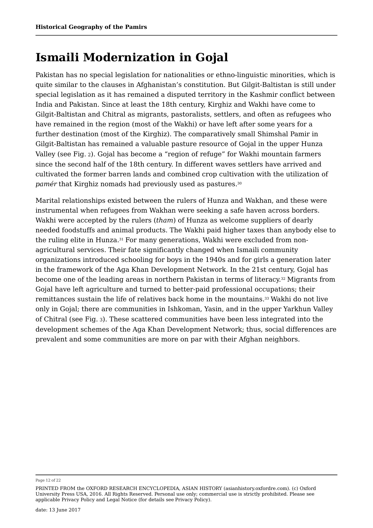## **Ismaili Modernization in Gojal**

Pakistan has no special legislation for nationalities or ethno-linguistic minorities, which is quite similar to the clauses in Afghanistan's constitution. But Gilgit-Baltistan is still under special legislation as it has remained a disputed territory in the Kashmir conflict between India and Pakistan. Since at least the 18th century, Kirghiz and Wakhi have come to Gilgit-Baltistan and Chitral as migrants, pastoralists, settlers, and often as refugees who have remained in the region (most of the Wakhi) or have left after some years for a further destination (most of the Kirghiz). The comparatively small Shimshal Pamir in Gilgit-Baltistan has remained a valuable pasture resource of Gojal in the upper Hunza Valley (see Fig. <sup>2</sup>). Gojal has become a "region of refuge" for Wakhi mountain farmers since the second half of the 18th century. In different waves settlers have arrived and cultivated the former barren lands and combined crop cultivation with the utilization of *pamér* that Kirghiz nomads had previously used as pastures. 30

Marital relationships existed between the rulers of Hunza and Wakhan, and these were instrumental when refugees from Wakhan were seeking a safe haven across borders. Wakhi were accepted by the rulers (*tham*) of Hunza as welcome suppliers of dearly needed foodstuffs and animal products. The Wakhi paid higher taxes than anybody else to the ruling elite in Hunza. $^{\rm 31}$  For many generations, Wakhi were excluded from nonagricultural services. Their fate significantly changed when Ismaili community organizations introduced schooling for boys in the 1940s and for girls a generation later in the framework of the Aga Khan Development Network. In the 21st century, Gojal has become one of the leading areas in northern Pakistan in terms of literacy.<sup>32</sup> Migrants from Gojal have left agriculture and turned to better-paid professional occupations; their remittances sustain the life of relatives back home in the mountains. $^{\rm 33}$  Wakhi do not live only in Gojal; there are communities in Ishkoman, Yasin, and in the upper Yarkhun Valley of Chitral (see Fig. 3). These scattered communities have been less integrated into the development schemes of the Aga Khan Development Network; thus, social differences are prevalent and some communities are more on par with their Afghan neighbors.

Page 12 of 22

PRINTED FROM the OXFORD RESEARCH ENCYCLOPEDIA, ASIAN HISTORY (asianhistory.oxfordre.com). (c) Oxford University Press USA, 2016. All Rights Reserved. Personal use only; commercial use is strictly prohibited. Please see applicable Privacy Policy and Legal Notice (for details see Privacy Policy).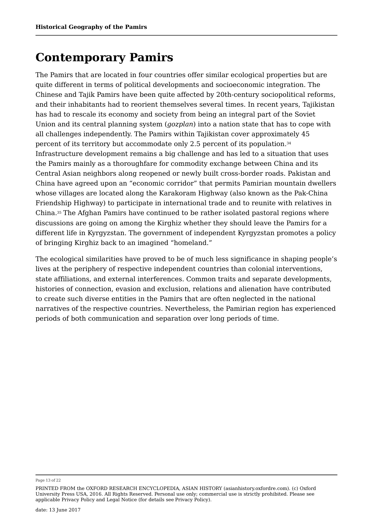### **Contemporary Pamirs**

The Pamirs that are located in four countries offer similar ecological properties but are quite different in terms of political developments and socioeconomic integration. The Chinese and Tajik Pamirs have been quite affected by 20th-century sociopolitical reforms, and their inhabitants had to reorient themselves several times. In recent years, Tajikistan has had to rescale its economy and society from being an integral part of the Soviet Union and its central planning system (*gozplan*) into a nation state that has to cope with all challenges independently. The Pamirs within Tajikistan cover approximately 45 percent of its territory but accommodate only 2.5 percent of its population. Infrastructure development remains a big challenge and has led to a situation that uses the Pamirs mainly as a thoroughfare for commodity exchange between China and its Central Asian neighbors along reopened or newly built cross-border roads. Pakistan and China have agreed upon an "economic corridor" that permits Pamirian mountain dwellers whose villages are located along the Karakoram Highway (also known as the Pak-China Friendship Highway) to participate in international trade and to reunite with relatives in China.35 The Afghan Pamirs have continued to be rather isolated pastoral regions where discussions are going on among the Kirghiz whether they should leave the Pamirs for a different life in Kyrgyzstan. The government of independent Kyrgyzstan promotes a policy of bringing Kirghiz back to an imagined "homeland." 34

The ecological similarities have proved to be of much less significance in shaping people's lives at the periphery of respective independent countries than colonial interventions, state affiliations, and external interferences. Common traits and separate developments, histories of connection, evasion and exclusion, relations and alienation have contributed to create such diverse entities in the Pamirs that are often neglected in the national narratives of the respective countries. Nevertheless, the Pamirian region has experienced periods of both communication and separation over long periods of time.

Page 13 of 22

PRINTED FROM the OXFORD RESEARCH ENCYCLOPEDIA, ASIAN HISTORY (asianhistory.oxfordre.com). (c) Oxford University Press USA, 2016. All Rights Reserved. Personal use only; commercial use is strictly prohibited. Please see applicable Privacy Policy and Legal Notice (for details see Privacy Policy).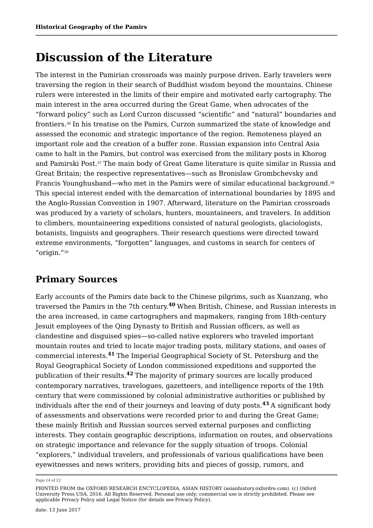### **Discussion of the Literature**

The interest in the Pamirian crossroads was mainly purpose driven. Early travelers were traversing the region in their search of Buddhist wisdom beyond the mountains. Chinese rulers were interested in the limits of their empire and motivated early cartography. The main interest in the area occurred during the Great Game, when advocates of the "forward policy" such as Lord Curzon discussed "scientific" and "natural" boundaries and frontiers. In his treatise on the Pamirs, Curzon summarized the state of knowledge and 36 assessed the economic and strategic importance of the region. Remoteness played an important role and the creation of a buffer zone. Russian expansion into Central Asia came to halt in the Pamirs, but control was exercised from the military posts in Khorog and Pamirski Post. $^{37}$  The main body of Great Game literature is quite similar in Russia and Great Britain; the respective representatives—such as Bronislaw Grombchevsky and Francis Younghusband—who met in the Pamirs were of similar educational background. This special interest ended with the demarcation of international boundaries by 1895 and the Anglo-Russian Convention in 1907. Afterward, literature on the Pamirian crossroads was produced by a variety of scholars, hunters, mountaineers, and travelers. In addition to climbers, mountaineering expeditions consisted of natural geologists, glaciologists, botanists, linguists and geographers. Their research questions were directed toward extreme environments, "forgotten" languages, and customs in search for centers of "origin."<sup>39</sup> 38 39

### **Primary Sources**

Early accounts of the Pamirs date back to the Chinese pilgrims, such as Xuanzang, who traversed the Pamirs in the 7th century.<sup>40</sup> When British, Chinese, and Russian interests in the area increased, in came cartographers and mapmakers, ranging from 18th-century Jesuit employees of the Qing Dynasty to British and Russian officers, as well as clandestine and disguised spies—so-called native explorers who traveled important mountain routes and tried to locate major trading posts, military stations, and oases of commercial interests.<sup>41</sup> The Imperial Geographical Society of St. Petersburg and the Royal Geographical Society of London commissioned expeditions and supported the publication of their results.<sup>42</sup> The majority of primary sources are locally produced contemporary narratives, travelogues, gazetteers, and intelligence reports of the 19th century that were commissioned by colonial administrative authorities or published by individuals after the end of their journeys and leaving of duty posts.<sup>43</sup> A significant body of assessments and observations were recorded prior to and during the Great Game; these mainly British and Russian sources served external purposes and conflicting interests. They contain geographic descriptions, information on routes, and observations on strategic importance and relevance for the supply situation of troops. Colonial "explorers," individual travelers, and professionals of various qualifications have been eyewitnesses and news writers, providing bits and pieces of gossip, rumors, and

Page 14 of 22

PRINTED FROM the OXFORD RESEARCH ENCYCLOPEDIA, ASIAN HISTORY (asianhistory.oxfordre.com). (c) Oxford University Press USA, 2016. All Rights Reserved. Personal use only; commercial use is strictly prohibited. Please see applicable Privacy Policy and Legal Notice (for details see Privacy Policy).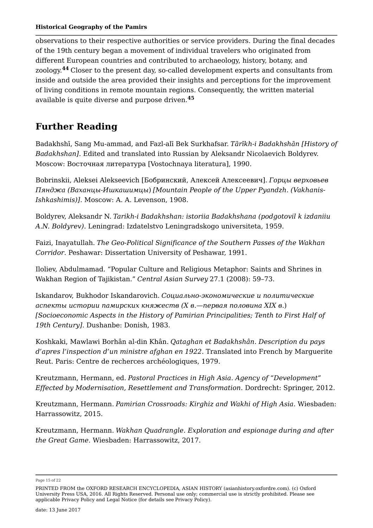observations to their respective authorities or service providers. During the final decades of the 19th century began a movement of individual travelers who originated from different European countries and contributed to archaeology, history, botany, and zoology.<sup>44</sup> Closer to the present day, so-called development experts and consultants from inside and outside the area provided their insights and perceptions for the improvement of living conditions in remote mountain regions. Consequently, the written material available is quite diverse and purpose driven. **45**

### **Further Reading**

Badakhshī, Sang Mu-ammad, and Fazl-alī Bek Surkhafsar. *Tārīkh-i Badakhshān [History of Badakhshan]*. Edited and translated into Russian by Aleksandr Nicolaevich Boldyrev. Moscow: Восточная литература [Vostochnaya literatura], 1990.

Bobrinskii, Aleksei Alekseevich [Бобринский, Алексей Алексеевич]. *Горцы верховьев Пянджа (Ваханцы-Ишкашимцы*) *[Mountain People of the Upper Pyandzh. (Vakhanis-Ishkashimis)]*. Moscow: A. A. Levenson, 1908.

Boldyrev, Aleksandr N. *Tarikh-i Badakhshan: istoriia Badakhshana (podgotovil k izdaniiu A.N. Boldyrev)*. Leningrad: Izdatelstvo Leningradskogo universiteta, 1959.

Faizi, Inayatullah. *The Geo-Political Significance of the Southern Passes of the Wakhan Corridor*. Peshawar: Dissertation University of Peshawar, 1991.

Iloliev, Abdulmamad. "Popular Culture and Religious Metaphor: Saints and Shrines in Wakhan Region of Tajikistan." *Central Asian Survey* 27.1 (2008): 59–73.

Iskandarov, Bukhodor Iskandarovich. *Социально-экономические и политические аспекты истории памирских княжеств (Х в.—первая половина ХIХ в*.) *[Socioeconomic Aspects in the History of Pamirian Principalities; Tenth to First Half of 19th Century]*. Dushanbe: Donish, 1983.

Koshkaki, Mawlawi Borhân al-din Khân. *Qataghan et Badakhshân. Description du pays d'apres l'inspection d'un ministre afghan en 1922*. Translated into French by Marguerite Reut. Paris: Centre de recherces archéologiques, 1979.

Kreutzmann, Hermann, ed. *Pastoral Practices in High Asia. Agency of "Development" Effected by Modernisation, Resettlement and Transformation*. Dordrecht: Springer, 2012.

Kreutzmann, Hermann. *Pamirian Crossroads: Kirghiz and Wakhi of High Asia*. Wiesbaden: Harrassowitz, 2015.

Kreutzmann, Hermann. *Wakhan Quadrangle. Exploration and espionage during and after the Great Game*. Wiesbaden: Harrassowitz, 2017.

Page 15 of 22

PRINTED FROM the OXFORD RESEARCH ENCYCLOPEDIA, ASIAN HISTORY (asianhistory.oxfordre.com). (c) Oxford University Press USA, 2016. All Rights Reserved. Personal use only; commercial use is strictly prohibited. Please see applicable Privacy Policy and Legal Notice (for details see Privacy Policy).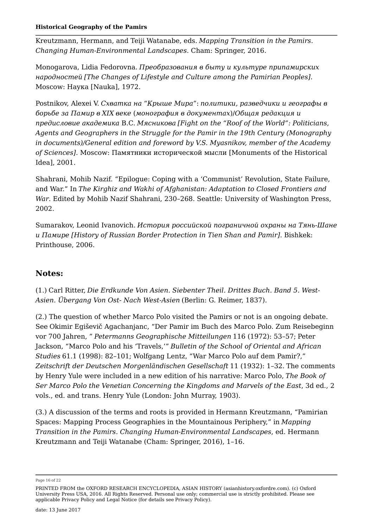Kreutzmann, Hermann, and Teiji Watanabe, eds. *Mapping Transition in the Pamirs. Changing Human-Environmental Landscapes*. Cham: Springer, 2016.

Monogarova, Lidia Fedorovna. *Преобразования в быту и культуре припамирских народностей [The Changes of Lifestyle and Culture among the Pamirian Peoples]*. Moscow: Наука [Nauka], 1972.

Postnikov, Alexei V. *Схватка на* "*Крыше Мира*": *политики, разведчики и географы в борьбе за Памир в XIX веке* (*монография в документах*)/*Общая редакция и предисловие академика* B.C. *Мясникова [Fight on the "Roof of the World": Politicians, Agents and Geographers in the Struggle for the Pamir in the 19th Century (Monography in documents)/General edition and foreword by V.S. Myasnikov, member of the Academy of Sciences]*. Moscow: Памятники исторической мысли [Monuments of the Historical Idea], 2001.

Shahrani, Mohib Nazif. "Epilogue: Coping with a 'Communist' Revolution, State Failure, and War." In *The Kirghiz and Wakhi of Afghanistan: Adaptation to Closed Frontiers and War*. Edited by Mohib Nazif Shahrani, 230–268. Seattle: University of Washington Press, 2002.

Sumarakov, Leonid Ivanovich. *История российской пограничной охраны на Тянь-Шане и Памире [History of Russian Border Protection in Tien Shan and Pamir]*. Bishkek: Printhouse, 2006.

### **Notes:**

(1.) Carl Ritter, *Die Erdkunde Von Asien. Siebenter Theil. Drittes Buch. Band 5. West-Asien. Übergang Von Ost- Nach West-Asien* (Berlin: G. Reimer, 1837).

(2.) The question of whether Marco Polo visited the Pamirs or not is an ongoing debate. See Okimir Egiševič Agachanjanc, "Der Pamir im Buch des Marco Polo. Zum Reisebeginn vor 700 Jahren, " *Petermanns Geographische Mitteilungen* 116 (1972): 53–57; Peter Jackson, "Marco Polo and his 'Travels,'" *Bulletin of the School of Oriental and African Studies* 61.1 (1998): 82–101; Wolfgang Lentz, "War Marco Polo auf dem Pamir?," *Zeitschrift der Deutschen Morgenländischen Gesellschaft* 11 (1932): 1–32. The comments by Henry Yule were included in a new edition of his narrative: Marco Polo, *The Book of Ser Marco Polo the Venetian Concerning the Kingdoms and Marvels of the East*, 3d ed., 2 vols., ed. and trans. Henry Yule (London: John Murray, 1903).

(3.) A discussion of the terms and roots is provided in Hermann Kreutzmann, "Pamirian Spaces: Mapping Process Geographies in the Mountainous Periphery," in *Mapping Transition in the Pamirs. Changing Human-Environmental Landscapes*, ed. Hermann Kreutzmann and Teiji Watanabe (Cham: Springer, 2016), 1–16.

Page 16 of 22

PRINTED FROM the OXFORD RESEARCH ENCYCLOPEDIA, ASIAN HISTORY (asianhistory.oxfordre.com). (c) Oxford University Press USA, 2016. All Rights Reserved. Personal use only; commercial use is strictly prohibited. Please see applicable Privacy Policy and Legal Notice (for details see Privacy Policy).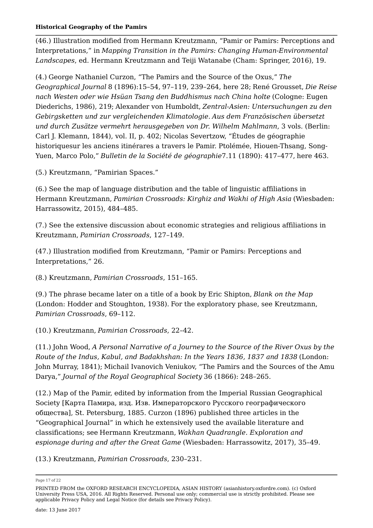(46.) Illustration modified from Hermann Kreutzmann, "Pamir or Pamirs: Perceptions and Interpretations," in *Mapping Transition in the Pamirs: Changing Human-Environmental Landscapes*, ed. Hermann Kreutzmann and Teiji Watanabe (Cham: Springer, 2016), 19.

(4.) George Nathaniel Curzon, "The Pamirs and the Source of the Oxus," *The Geographical Journal* 8 (1896):15–54, 97–119, 239–264, here 28; René Grousset, *Die Reise nach Westen oder wie Hsüan Tsang den Buddhismus nach China holte* (Cologne: Eugen Diederichs, 1986), 219; Alexander von Humboldt, *Zentral-Asien: Untersuchungen zu den Gebirgsketten und zur vergleichenden Klimatologie*. *Aus dem Französischen übersetzt und durch Zusätze vermehrt herausgegeben von Dr. Wilhelm Mahlmann*, 3 vols. (Berlin: Carl J. Klemann, 1844), vol. II, p. 402; Nicolas Severtzow, "Études de géographie historiquesur les anciens itinérares a travers le Pamir. Ptolémée, Hiouen-Thsang, Song-Yuen, Marco Polo," *Bulletin de la Société de géographie*7.11 (1890): 417–477, here 463.

(5.) Kreutzmann, "Pamirian Spaces."

(6.) See the map of language distribution and the table of linguistic affiliations in Hermann Kreutzmann, *Pamirian Crossroads: Kirghiz and Wakhi of High Asia* (Wiesbaden: Harrassowitz, 2015), 484–485.

(7.) See the extensive discussion about economic strategies and religious affiliations in Kreutzmann, *Pamirian Crossroads*, 127–149.

(47.) Illustration modified from Kreutzmann, "Pamir or Pamirs: Perceptions and Interpretations," 26.

(8.) Kreutzmann, *Pamirian Crossroads*, 151–165.

(9.) The phrase became later on a title of a book by Eric Shipton, *Blank on the Map* (London: Hodder and Stoughton, 1938). For the exploratory phase, see Kreutzmann, *Pamirian Crossroads*, 69–112.

(10.) Kreutzmann, *Pamirian Crossroads*, 22–42.

(11.) John Wood, *A Personal Narrative of a Journey to the Source of the River Oxus by the Route of the Indus, Kabul, and Badakhshan: In the Years 1836, 1837 and 1838* (London: John Murray, 1841); Michail Ivanovich Veniukov, "The Pamirs and the Sources of the Amu Darya," *Journal of the Royal Geographical Society* 36 (1866): 248–265.

(12.) Map of the Pamir, edited by information from the Imperial Russian Geographical Society [Карта Памира, изд. Изв. Императорского Русского географического общества], St. Petersburg, 1885. Curzon (1896) published three articles in the "Geographical Journal" in which he extensively used the available literature and classifications; see Hermann Kreutzmann, *Wakhan Quadrangle. Exploration and espionage during and after the Great Game* (Wiesbaden: Harrassowitz, 2017), 35–49.

(13.) Kreutzmann, *Pamirian Crossroads*, 230–231.

Page 17 of 22

PRINTED FROM the OXFORD RESEARCH ENCYCLOPEDIA, ASIAN HISTORY (asianhistory.oxfordre.com). (c) Oxford University Press USA, 2016. All Rights Reserved. Personal use only; commercial use is strictly prohibited. Please see applicable Privacy Policy and Legal Notice (for details see Privacy Policy).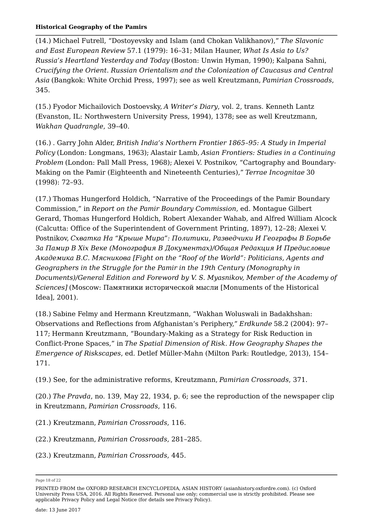(14.) Michael Futrell, "Dostoyevsky and Islam (and Chokan Valikhanov)," *The Slavonic and East European Review* 57.1 (1979): 16–31; Milan Hauner, *What Is Asia to Us? Russia's Heartland Yesterday and Today* (Boston: Unwin Hyman, 1990); Kalpana Sahni, *Crucifying the Orient. Russian Orientalism and the Colonization of Caucasus and Central Asia* (Bangkok: White Orchid Press, 1997); see as well Kreutzmann, *Pamirian Crossroads*, 345.

(15.) Fyodor Michailovich Dostoevsky, *A Writer's Diary*, vol. 2, trans. Kenneth Lantz (Evanston, IL: Northwestern University Press, 1994), 1378; see as well Kreutzmann, *Wakhan Quadrangle*, 39–40.

(16.) . Garry John Alder, *British India's Northern Frontier 1865–95: A Study in Imperial Policy* (London: Longmans, 1963); Alastair Lamb, *Asian Frontiers: Studies in a Continuing Problem* (London: Pall Mall Press, 1968); Alexei V. Postnikov, "Cartography and Boundary-Making on the Pamir (Eighteenth and Nineteenth Centuries)," *Terrae Incognitae* 30 (1998): 72–93.

(17.) Thomas Hungerford Holdich, "Narrative of the Proceedings of the Pamir Boundary Commission," in *Report on the Pamir Boundary Commission*, ed. Montague Gilbert Gerard, Thomas Hungerford Holdich, Robert Alexander Wahab, and Alfred William Alcock (Calcutta: Office of the Superintendent of Government Printing, 1897), 12–28; Alexei V. Postnikov, *Схватка На "Крыше Мира": Политики, Разведчики И Географы В Борьбе За Памир В Xix Веке (Монография В Документах)/Общая Редакция И Предисловие Академика B.C. Мясникова [Fight on the "Roof of the World": Politicians, Agents and Geographers in the Struggle for the Pamir in the 19th Century (Monography in Documents)/General Edition and Foreword by V. S. Myasnikov, Member of the Academy of Sciences]* (Moscow: Памятники исторической мысли [Monuments of the Historical Idea], 2001).

(18.) Sabine Felmy and Hermann Kreutzmann, "Wakhan Woluswali in Badakhshan: Observations and Reflections from Afghanistan's Periphery," *Erdkunde* 58.2 (2004): 97– 117; Hermann Kreutzmann, "Boundary-Making as a Strategy for Risk Reduction in Conflict-Prone Spaces," in *The Spatial Dimension of Risk. How Geography Shapes the Emergence of Riskscapes*, ed. Detlef Müller-Mahn (Milton Park: Routledge, 2013), 154– 171.

(19.) See, for the administrative reforms, Kreutzmann, *Pamirian Crossroads*, 371.

(20.) *The Pravda*, no. 139, May 22, 1934, p. 6; see the reproduction of the newspaper clip in Kreutzmann, *Pamirian Crossroads*, 116.

(21.) Kreutzmann, *Pamirian Crossroads*, 116.

(22.) Kreutzmann, *Pamirian Crossroads*, 281–285.

(23.) Kreutzmann, *Pamirian Crossroads*, 445.

Page 18 of 22

PRINTED FROM the OXFORD RESEARCH ENCYCLOPEDIA, ASIAN HISTORY (asianhistory.oxfordre.com). (c) Oxford University Press USA, 2016. All Rights Reserved. Personal use only; commercial use is strictly prohibited. Please see applicable Privacy Policy and Legal Notice (for details see Privacy Policy).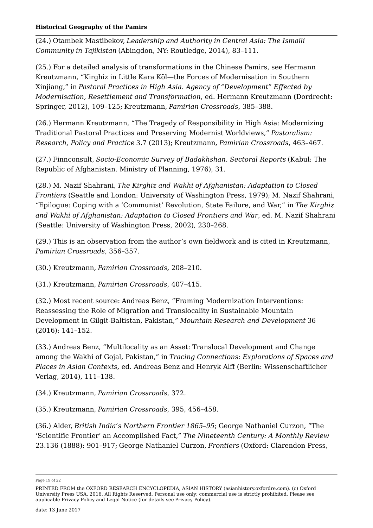(24.) Otambek Mastibekov, *Leadership and Authority in Central Asia: The Ismaili Community in Tajikistan* (Abingdon, NY: Routledge, 2014), 83–111.

(25.) For a detailed analysis of transformations in the Chinese Pamirs, see Hermann Kreutzmann, "Kirghiz in Little Kara Köl—the Forces of Modernisation in Southern Xinjiang," in *Pastoral Practices in High Asia. Agency of "Development" Effected by Modernisation, Resettlement and Transformation*, ed. Hermann Kreutzmann (Dordrecht: Springer, 2012), 109–125; Kreutzmann, *Pamirian Crossroads*, 385–388.

(26.) Hermann Kreutzmann, "The Tragedy of Responsibility in High Asia: Modernizing Traditional Pastoral Practices and Preserving Modernist Worldviews," *Pastoralism: Research, Policy and Practice* 3.7 (2013); Kreutzmann, *Pamirian Crossroads*, 463–467.

(27.) Finnconsult, *Socio-Economic Survey of Badakhshan. Sectoral Reports* (Kabul: The Republic of Afghanistan. Ministry of Planning, 1976), 31.

(28.) M. Nazif Shahrani, *The Kirghiz and Wakhi of Afghanistan: Adaptation to Closed Frontiers* (Seattle and London: University of Washington Press, 1979); M. Nazif Shahrani, "Epilogue: Coping with a 'Communist' Revolution, State Failure, and War," in *The Kirghiz and Wakhi of Afghanistan: Adaptation to Closed Frontiers and War*, ed. M. Nazif Shahrani (Seattle: University of Washington Press, 2002), 230–268.

(29.) This is an observation from the author's own fieldwork and is cited in Kreutzmann, *Pamirian Crossroads*, 356–357.

(30.) Kreutzmann, *Pamirian Crossroads*, 208–210.

(31.) Kreutzmann, *Pamirian Crossroads*, 407–415.

(32.) Most recent source: Andreas Benz, "Framing Modernization Interventions: Reassessing the Role of Migration and Translocality in Sustainable Mountain Development in Gilgit-Baltistan, Pakistan," *Mountain Research and Development* 36 (2016): 141–152.

(33.) Andreas Benz, "Multilocality as an Asset: Translocal Development and Change among the Wakhi of Gojal, Pakistan," in *Tracing Connections: Explorations of Spaces and Places in Asian Contexts*, ed. Andreas Benz and Henryk Alff (Berlin: Wissenschaftlicher Verlag, 2014), 111–138.

(34.) Kreutzmann, *Pamirian Crossroads*, 372.

(35.) Kreutzmann, *Pamirian Crossroads*, 395, 456–458.

(36.) Alder, *British India's Northern Frontier 1865–95*; George Nathaniel Curzon, "The 'Scientific Frontier' an Accomplished Fact," *The Nineteenth Century: A Monthly Review* 23.136 (1888): 901–917; George Nathaniel Curzon, *Frontiers* (Oxford: Clarendon Press,

Page 19 of 22

PRINTED FROM the OXFORD RESEARCH ENCYCLOPEDIA, ASIAN HISTORY (asianhistory.oxfordre.com). (c) Oxford University Press USA, 2016. All Rights Reserved. Personal use only; commercial use is strictly prohibited. Please see applicable Privacy Policy and Legal Notice (for details see Privacy Policy).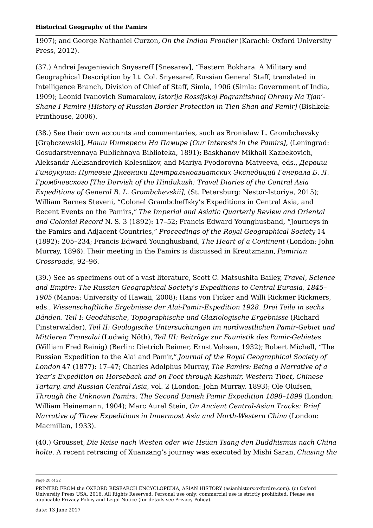1907); and George Nathaniel Curzon, *On the Indian Frontier* (Karachi: Oxford University Press, 2012).

(37.) Andrei Jevgenievich Snyesreff [Snesarev], "Eastern Bokhara. A Military and Geographical Description by Lt. Col. Snyesaref, Russian General Staff, translated in Intelligence Branch, Division of Chief of Staff, Simla, 1906 (Simla: Government of India, 1909); Leonid Ivanovich Sumarakov, *Istorija Rossijskoj Pogranitshnoj Ohrany Na Tjan'- Shane I Pamire [History of Russian Border Protection in Tien Shan and Pamir]* (Bishkek: Printhouse, 2006).

(38.) See their own accounts and commentaries, such as Bronislaw L. Grombchevsky [Grąbczewski], *Наши Интересы На Памире [Our Interests in the Pamirs]*, (Leningrad: Gosudarstvennaya Publichnaya Biblioteka, 1891); Baskhanov Mikhail Kazbekovich, Aleksandr Aleksandrovich Kolesnikov, and Mariya Fyodorovna Matveeva, eds., *Дервиш Гиндукуша: Путевые Дневники Центральноазиатских Экспедиций Генерала Б. Л. Громбчевского [The Dervish of the Hindukush: Travel Diaries of the Central Asia Expeditions of General B. L. Grombchevskii]*, (St. Petersburg: Nestor-Istoriya, 2015); William Barnes Steveni, "Colonel Grambcheffsky's Expeditions in Central Asia, and Recent Events on the Pamirs," *The Imperial and Asiatic Quarterly Review and Oriental and Colonial Record* N. S. 3 (1892): 17–52; Francis Edward Younghusband, "Journeys in the Pamirs and Adjacent Countries," *Proceedings of the Royal Geographical Society* 14 (1892): 205–234; Francis Edward Younghusband, *The Heart of a Continent* (London: John Murray, 1896). Their meeting in the Pamirs is discussed in Kreutzmann, *Pamirian Crossroads*, 92–96.

(39.) See as specimens out of a vast literature, Scott C. Matsushita Bailey, *Travel, Science and Empire: The Russian Geographical Society's Expeditions to Central Eurasia, 1845– 1905* (Manoa: University of Hawaii, 2008); Hans von Ficker and Willi Rickmer Rickmers, eds., *Wissenschaftliche Ergebnisse der Alai-Pamir-Expedition 1928. Drei Teile in sechs Bänden. Teil I: Geodätische, Topographische und Glaziologische Ergebnisse* (Richard Finsterwalder), *Teil II: Geologische Untersuchungen im nordwestlichen Pamir-Gebiet und Mittleren Transalai* (Ludwig Nöth), *Teil III: Beiträge zur Faunistik des Pamir-Gebietes* (William Fred Reinig) (Berlin: Dietrich Reimer, Ernst Vohsen, 1932); Robert Michell, "The Russian Expedition to the Alai and Pamir," *Journal of the Royal Geographical Society of London* 47 (1877): 17–47; Charles Adolphus Murray, *The Pamirs: Being a Narrative of a Year's Expedition on Horseback and on Foot through Kashmir, Western Tibet, Chinese Tartary, and Russian Central Asia*, vol. 2 (London: John Murray, 1893); Ole Olufsen, *Through the Unknown Pamirs: The Second Danish Pamir Expedition 1898–1899* (London: William Heinemann, 1904); Marc Aurel Stein, *On Ancient Central-Asian Tracks: Brief Narrative of Three Expeditions in Innermost Asia and North-Western China* (London: Macmillan, 1933).

(40.) Grousset, *Die Reise nach Westen oder wie Hsüan Tsang den Buddhismus nach China holte*. A recent retracing of Xuanzang's journey was executed by Mishi Saran, *Chasing the*

Page 20 of 22

PRINTED FROM the OXFORD RESEARCH ENCYCLOPEDIA, ASIAN HISTORY (asianhistory.oxfordre.com). (c) Oxford University Press USA, 2016. All Rights Reserved. Personal use only; commercial use is strictly prohibited. Please see applicable Privacy Policy and Legal Notice (for details see Privacy Policy).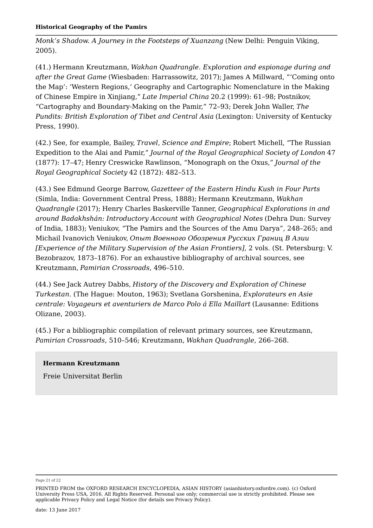*Monk's Shadow. A Journey in the Footsteps of Xuanzang* (New Delhi: Penguin Viking, 2005).

(41.) Hermann Kreutzmann, *Wakhan Quadrangle. Exploration and espionage during and after the Great Game* (Wiesbaden: Harrassowitz, 2017); James A Millward, "'Coming onto the Map': 'Western Regions,' Geography and Cartographic Nomenclature in the Making of Chinese Empire in Xinjiang," *Late Imperial China* 20.2 (1999): 61–98; Postnikov, "Cartography and Boundary-Making on the Pamir," 72–93; Derek John Waller, *The Pundits: British Exploration of Tibet and Central Asia* (Lexington: University of Kentucky Press, 1990).

(42.) See, for example, Bailey, *Travel, Science and Empire*; Robert Michell, "The Russian Expedition to the Alai and Pamir," *Journal of the Royal Geographical Society of London* 47 (1877): 17–47; Henry Creswicke Rawlinson, "Monograph on the Oxus," *Journal of the Royal Geographical Society* 42 (1872): 482–513.

(43.) See Edmund George Barrow, *Gazetteer of the Eastern Hindu Kush in Four Parts* (Simla, India: Government Central Press, 1888); Hermann Kreutzmann, *Wakhan Quadrangle* (2017); Henry Charles Baskerville Tanner, *Geographical Explorations in and around Badakhshán: Introductory Account with Geographical Notes* (Dehra Dun: Survey of India, 1883); Veniukov, "The Pamirs and the Sources of the Amu Darya", 248–265; and Michail Ivanovich Veniukov, *Опыт Военного Обозрения Русских Границ В Азии [Experience of the Military Supervision of the Asian Frontiers]*, 2 vols. (St. Petersburg: V. Bezobrazov, 1873–1876). For an exhaustive bibliography of archival sources, see Kreutzmann, *Pamirian Crossroads*, 496–510.

(44.) See Jack Autrey Dabbs, *History of the Discovery and Exploration of Chinese Turkestan*. (The Hague: Mouton, 1963); Svetlana Gorshenina, *Explorateurs en Asie centrale: Voyageurs et aventuriers de Marco Polo á Ella Maillart* (Lausanne: Editions Olizane, 2003).

(45.) For a bibliographic compilation of relevant primary sources, see Kreutzmann, *Pamirian Crossroads*, 510–546; Kreutzmann, *Wakhan Quadrangle*, 266–268.

#### **Hermann Kreutzmann**

Freie Universitat Berlin

Page 21 of 22

PRINTED FROM the OXFORD RESEARCH ENCYCLOPEDIA, ASIAN HISTORY (asianhistory.oxfordre.com). (c) Oxford University Press USA, 2016. All Rights Reserved. Personal use only; commercial use is strictly prohibited. Please see applicable Privacy Policy and Legal Notice (for details see Privacy Policy).